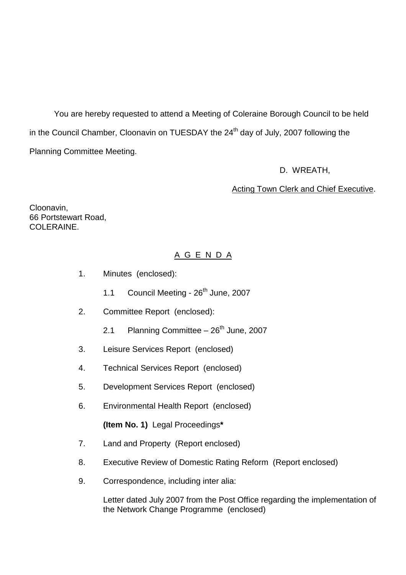You are hereby requested to attend a Meeting of Coleraine Borough Council to be held in the Council Chamber, Cloonavin on TUESDAY the 24<sup>th</sup> day of July, 2007 following the Planning Committee Meeting.

D. WREATH,

#### Acting Town Clerk and Chief Executive.

Cloonavin, 66 Portstewart Road, COLERAINE

# A G E N D A

- 1. Minutes (enclosed):
	- 1.1 Council Meeting  $26<sup>th</sup>$  June, 2007
- 2. Committee Report (enclosed):
	- 2.1 Planning Committee  $-26<sup>th</sup>$  June, 2007
- 3. Leisure Services Report (enclosed)
- 4. Technical Services Report (enclosed)
- 5. Development Services Report (enclosed)
- 6. Environmental Health Report (enclosed)

**(Item No. 1)** Legal Proceedings**\***

- 7. Land and Property (Report enclosed)
- 8. Executive Review of Domestic Rating Reform (Report enclosed)
- 9. Correspondence, including inter alia:

Letter dated July 2007 from the Post Office regarding the implementation of the Network Change Programme (enclosed)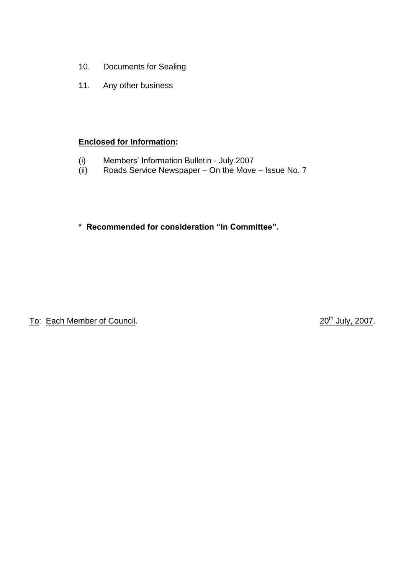- 10. Documents for Sealing
- 11. Any other business

#### **Enclosed for Information:**

- (i) Members' Information Bulletin July 2007<br>(ii) Roads Service Newspaper On the Move
- Roads Service Newspaper On the Move Issue No. 7

# \* Recommended for consideration "In Committee".

To: Each Member of Council.

20<sup>th</sup> July, 2007.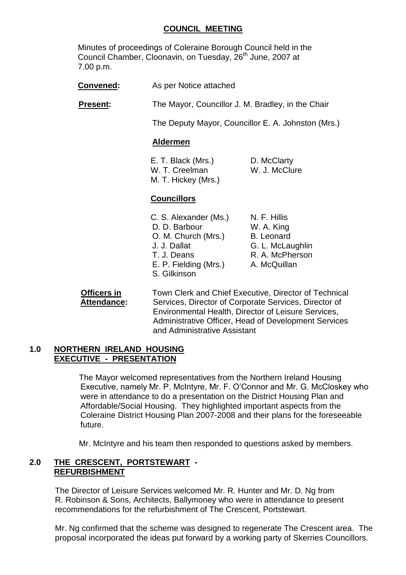#### **COUNCIL MEETING**

Minutes of proceedings of Coleraine Borough Council held in the Council Chamber, Cloonavin, on Tuesday, 26<sup>th</sup> June, 2007 at 7.00 p.m.

**Convened:** As per Notice attached

**Present:** The Mayor, Councillor J. M. Bradley, in the Chair

The Deputy Mayor, Councillor E. A. Johnston (Mrs.)

#### **Aldermen**

E. T. Black (Mrs.) D. McClarty W. T. Creelman W. J. McClure M. T. Hickey (Mrs.)

#### **Councillors**

C. S. Alexander (Ms.) N. F. Hillis D. D. Barbour W. A. King O. M. Church (Mrs.) B. Leonard J. J. Dallat G. L. McLaughlin T. J. Deans R. A. McPherson E. P. Fielding (Mrs.) A. McQuillan S. Gilkinson

**Officers in Town Clerk and Chief Executive, Director of Technical Attendance:** Services, Director of Corporate Services, Director of Environmental Health, Director of Leisure Services, Administrative Officer, Head of Development Services and Administrative Assistant

#### **1.0 NORTHERN IRELAND HOUSING EXECUTIVE - PRESENTATION**

The Mayor welcomed representatives from the Northern Ireland Housing Executive, namely Mr. P. McIntyre, Mr. F. O'Connor and Mr. G. McCloskey who were in attendance to do a presentation on the District Housing Plan and Affordable/Social Housing. They highlighted important aspects from the Coleraine District Housing Plan 2007-2008 and their plans for the foreseeable future.

Mr. McIntyre and his team then responded to questions asked by members.

#### **2.0 THE CRESCENT, PORTSTEWART - REFURBISHMENT**

The Director of Leisure Services welcomed Mr. R. Hunter and Mr. D. Ng from R. Robinson & Sons, Architects, Ballymoney who were in attendance to present recommendations for the refurbishment of The Crescent, Portstewart.

Mr. Ng confirmed that the scheme was designed to regenerate The Crescent area. The proposal incorporated the ideas put forward by a working party of Skerries Councillors.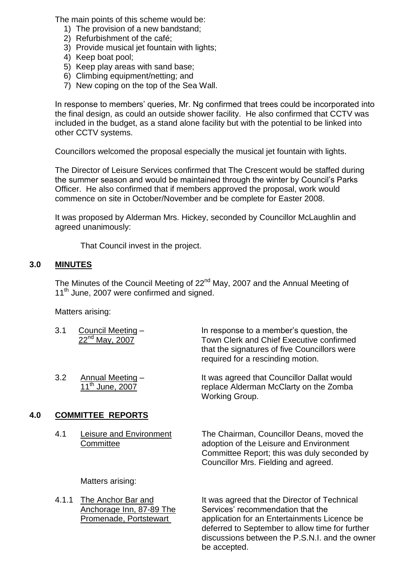The main points of this scheme would be:

- 1) The provision of a new bandstand;
- 2) Refurbishment of the café;
- 3) Provide musical jet fountain with lights;
- 4) Keep boat pool;
- 5) Keep play areas with sand base;
- 6) Climbing equipment/netting; and
- 7) New coping on the top of the Sea Wall.

In response to members' queries, Mr. Ng confirmed that trees could be incorporated into the final design, as could an outside shower facility. He also confirmed that CCTV was included in the budget, as a stand alone facility but with the potential to be linked into other CCTV systems.

Councillors welcomed the proposal especially the musical jet fountain with lights.

The Director of Leisure Services confirmed that The Crescent would be staffed during the summer season and would be maintained through the winter by Council's Parks Officer. He also confirmed that if members approved the proposal, work would commence on site in October/November and be complete for Easter 2008.

It was proposed by Alderman Mrs. Hickey, seconded by Councillor McLaughlin and agreed unanimously:

That Council invest in the project.

#### **3.0 MINUTES**

The Minutes of the Council Meeting of 22<sup>nd</sup> May, 2007 and the Annual Meeting of 11<sup>th</sup> June, 2007 were confirmed and signed.

Matters arising:

| 3.1 | Council Meeting -<br>$22^{nd}$ May, 2007               | In response to a member's question, the<br>Town Clerk and Chief Executive confirmed<br>that the signatures of five Councillors were<br>required for a rescinding motion. |
|-----|--------------------------------------------------------|--------------------------------------------------------------------------------------------------------------------------------------------------------------------------|
| 3.2 | <b>Annual Meeting -</b><br>11 <sup>th</sup> June, 2007 | It was agreed that Councillor Dallat would<br>replace Alderman McClarty on the Zomba<br>Working Group.                                                                   |

### **4.0 COMMITTEE REPORTS**

4.1 Leisure and Environment The Chairman, Councillor Deans, moved the Committee adoption of the Leisure and Environment Committee Report; this was duly seconded by Councillor Mrs. Fielding and agreed.

Matters arising:

4.1.1 The Anchor Bar and It was agreed that the Director of Technical Anchorage Inn, 87-89 The Services' recommendation that the Promenade, Portstewart application for an Entertainments Licence be deferred to September to allow time for further discussions between the P.S.N.I. and the owner be accepted.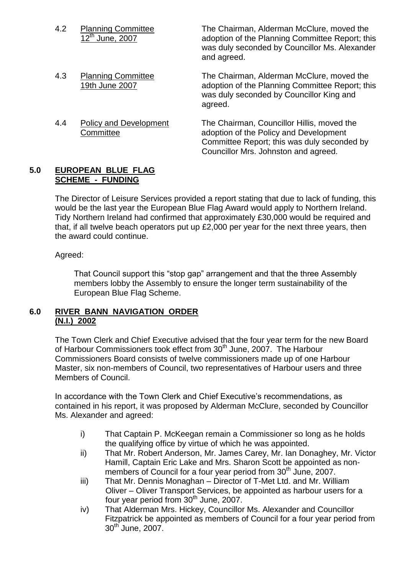| 4.2 | <b>Planning Committee</b><br>$12^{\text{th}}$ June, 2007 | The Chairman, Alderman McClure, moved the<br>adoption of the Planning Committee Report; this<br>was duly seconded by Councillor Ms. Alexander<br>and agreed.                |
|-----|----------------------------------------------------------|-----------------------------------------------------------------------------------------------------------------------------------------------------------------------------|
| 4.3 | <b>Planning Committee</b><br>19th June 2007              | The Chairman, Alderman McClure, moved the<br>adoption of the Planning Committee Report; this<br>was duly seconded by Councillor King and<br>agreed.                         |
| 4.4 | <b>Policy and Development</b><br>Committee               | The Chairman, Councillor Hillis, moved the<br>adoption of the Policy and Development<br>Committee Report; this was duly seconded by<br>Councillor Mrs. Johnston and agreed. |

#### **5.0 EUROPEAN BLUE FLAG SCHEME - FUNDING**

The Director of Leisure Services provided a report stating that due to lack of funding, this would be the last year the European Blue Flag Award would apply to Northern Ireland. Tidy Northern Ireland had confirmed that approximately £30,000 would be required and that, if all twelve beach operators put up £2,000 per year for the next three years, then the award could continue.

Agreed:

That Council support this "stop gap" arrangement and that the three Assembly members lobby the Assembly to ensure the longer term sustainability of the European Blue Flag Scheme.

### **6.0 RIVER BANN NAVIGATION ORDER (N.I.) 2002**

The Town Clerk and Chief Executive advised that the four year term for the new Board of Harbour Commissioners took effect from 30<sup>th</sup> June, 2007. The Harbour Commissioners Board consists of twelve commissioners made up of one Harbour Master, six non-members of Council, two representatives of Harbour users and three Members of Council.

In accordance with the Town Clerk and Chief Executive's recommendations, as contained in his report, it was proposed by Alderman McClure, seconded by Councillor Ms. Alexander and agreed:

- i) That Captain P. McKeegan remain a Commissioner so long as he holds the qualifying office by virtue of which he was appointed.
- ii) That Mr. Robert Anderson, Mr. James Carey, Mr. Ian Donaghey, Mr. Victor Hamill, Captain Eric Lake and Mrs. Sharon Scott be appointed as nonmembers of Council for a four year period from 30<sup>th</sup> June, 2007.
- iii) That Mr. Dennis Monaghan Director of T-Met Ltd. and Mr. William Oliver –Oliver Transport Services, be appointed as harbour users for a four year period from 30<sup>th</sup> June, 2007.
- iv) That Alderman Mrs. Hickey, Councillor Ms. Alexander and Councillor Fitzpatrick be appointed as members of Council for a four year period from  $30<sup>th</sup>$  June, 2007.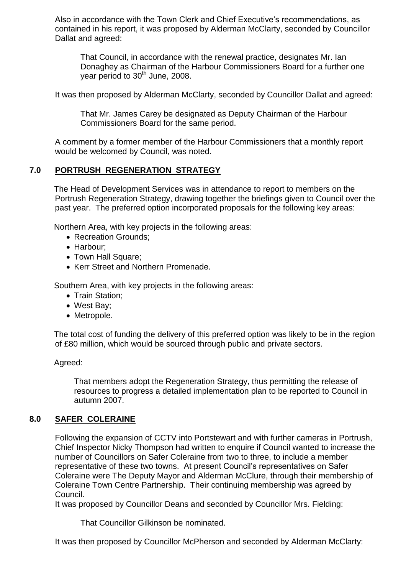Also in accordance with the Town Clerk and Chief Executive's recommendations, as contained in his report, it was proposed by Alderman McClarty, seconded by Councillor Dallat and agreed:

That Council, in accordance with the renewal practice, designates Mr. Ian Donaghey as Chairman of the Harbour Commissioners Board for a further one year period to  $30<sup>th</sup>$  June, 2008.

It was then proposed by Alderman McClarty, seconded by Councillor Dallat and agreed:

That Mr. James Carey be designated as Deputy Chairman of the Harbour Commissioners Board for the same period.

A comment by a former member of the Harbour Commissioners that a monthly report would be welcomed by Council, was noted.

### **7.0 PORTRUSH REGENERATION STRATEGY**

The Head of Development Services was in attendance to report to members on the Portrush Regeneration Strategy, drawing together the briefings given to Council over the past year. The preferred option incorporated proposals for the following key areas:

Northern Area, with key projects in the following areas:

- Recreation Grounds:
- Harbour;
- Town Hall Square;
- Kerr Street and Northern Promenade.

Southern Area, with key projects in the following areas:

- Train Station:
- West Bay;
- Metropole.

The total cost of funding the delivery of this preferred option was likely to be in the region of £80 million, which would be sourced through public and private sectors.

Agreed:

That members adopt the Regeneration Strategy, thus permitting the release of resources to progress a detailed implementation plan to be reported to Council in autumn 2007.

### **8.0 SAFER COLERAINE**

Following the expansion of CCTV into Portstewart and with further cameras in Portrush, Chief Inspector Nicky Thompson had written to enquire if Council wanted to increase the number of Councillors on Safer Coleraine from two to three, to include a member representative of these two towns. At present Council's representatives on Safer Coleraine were The Deputy Mayor and Alderman McClure, through their membership of Coleraine Town Centre Partnership. Their continuing membership was agreed by Council.

It was proposed by Councillor Deans and seconded by Councillor Mrs. Fielding:

That Councillor Gilkinson be nominated.

It was then proposed by Councillor McPherson and seconded by Alderman McClarty: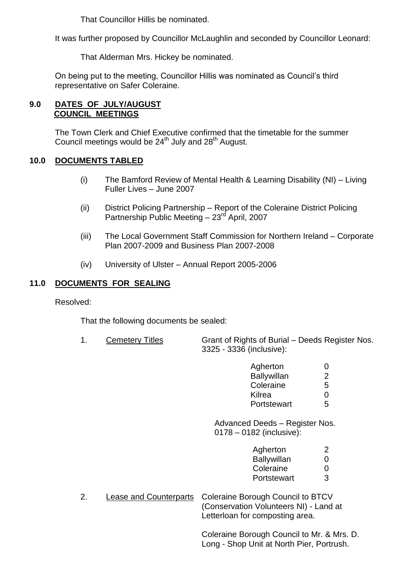That Councillor Hillis be nominated.

It was further proposed by Councillor McLaughlin and seconded by Councillor Leonard:

That Alderman Mrs. Hickey be nominated.

On being put to the meeting, Councillor Hillis was nominated as Council's third representative on Safer Coleraine.

### **9.0 DATES OF JULY/AUGUST COUNCIL MEETINGS**

The Town Clerk and Chief Executive confirmed that the timetable for the summer Council meetings would be 24<sup>th</sup> July and 28<sup>th</sup> August.

## **10.0 DOCUMENTS TABLED**

- (i) The Bamford Review of Mental Health & Learning Disability (NI) –Living Fuller Lives - June 2007
- (ii) District Policing Partnership –Report of the Coleraine District Policing Partnership Public Meeting – 23<sup>rd</sup> April, 2007
- (iii) The Local Government Staff Commission for Northern Ireland –Corporate Plan 2007-2009 and Business Plan 2007-2008
- (iv) University of Ulster –Annual Report 2005-2006

### **11.0 DOCUMENTS FOR SEALING**

Resolved:

That the following documents be sealed:

1. Cemetery Titles Grant of Rights of Burial –Deeds Register Nos. 3325 - 3336 (inclusive):

| Agherton           | $\mathbf{\Omega}$ |
|--------------------|-------------------|
| <b>Ballywillan</b> | 2                 |
| Coleraine          | 5                 |
| Kilrea             | 0                 |
| Portstewart        | 5                 |

Advanced Deeds – Register Nos. 0178 –0182 (inclusive):

| Agherton           | 2            |
|--------------------|--------------|
| <b>Ballywillan</b> | $\mathbf{0}$ |
| Coleraine          | $\mathbf{0}$ |
| Portstewart        | 3            |

2. Lease and Counterparts Coleraine Borough Council to BTCV (Conservation Volunteers NI) - Land at Letterloan for composting area.

> Coleraine Borough Council to Mr. & Mrs. D. Long - Shop Unit at North Pier, Portrush.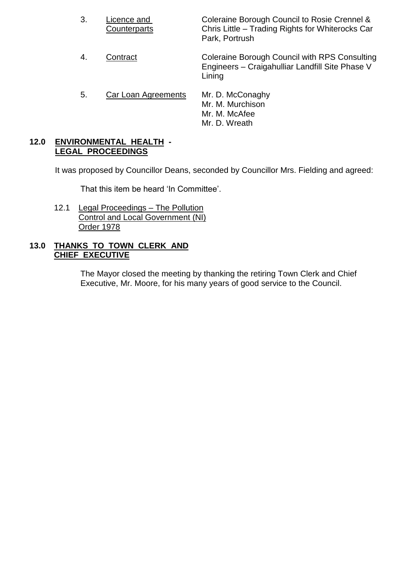- 3. Licence and Coleraine Borough Council to Rosie Crennel & Counterparts Chris Little –Trading Rights for Whiterocks Car Park, Portrush
- 4. Contract Coleraine Borough Council with RPS Consulting Engineers –Craigahulliar Landfill Site Phase V Lining
- 5. Car Loan Agreements Mr. D. McConaghy Mr. M. Murchison Mr. M. McAfee Mr. D. Wreath

#### **12.0 ENVIRONMENTAL HEALTH - LEGAL PROCEEDINGS**

It was proposed by Councillor Deans, seconded by Councillor Mrs. Fielding and agreed:

That this item be heard 'In Committee'.

12.1 Legal Proceedings - The Pollution Control and Local Government (NI) Order 1978

### **13.0 THANKS TO TOWN CLERK AND CHIEF EXECUTIVE**

The Mayor closed the meeting by thanking the retiring Town Clerk and Chief Executive, Mr. Moore, for his many years of good service to the Council.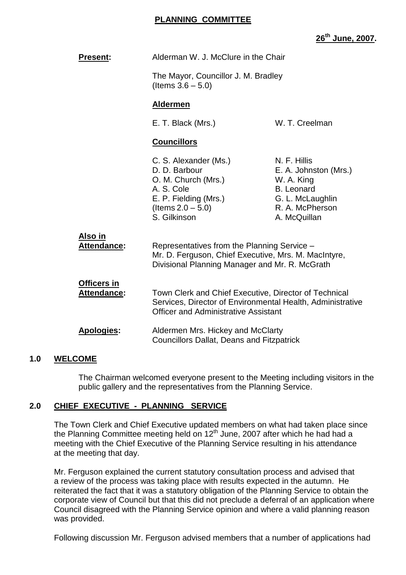#### **PLANNING COMMITTEE**

**26th June, 2007.**

| <b>Present:</b>                   | Alderman W. J. McClure in the Chair<br>The Mayor, Councillor J. M. Bradley<br>(Items $3.6 - 5.0$ )<br><b>Aldermen</b>                                              |                                                                                                                                 |  |
|-----------------------------------|--------------------------------------------------------------------------------------------------------------------------------------------------------------------|---------------------------------------------------------------------------------------------------------------------------------|--|
|                                   |                                                                                                                                                                    |                                                                                                                                 |  |
|                                   |                                                                                                                                                                    |                                                                                                                                 |  |
|                                   | E. T. Black (Mrs.)                                                                                                                                                 | W. T. Creelman                                                                                                                  |  |
|                                   | <b>Councillors</b>                                                                                                                                                 |                                                                                                                                 |  |
|                                   | C. S. Alexander (Ms.)<br>D. D. Barbour<br>O. M. Church (Mrs.)<br>A. S. Cole<br>E. P. Fielding (Mrs.)<br>(Items $2.0 - 5.0$ )<br>S. Gilkinson                       | N. F. Hillis<br>E. A. Johnston (Mrs.)<br>W. A. King<br><b>B.</b> Leonard<br>G. L. McLaughlin<br>R. A. McPherson<br>A. McQuillan |  |
| Also in<br>Attendance:            | Representatives from the Planning Service -<br>Mr. D. Ferguson, Chief Executive, Mrs. M. MacIntyre,<br>Divisional Planning Manager and Mr. R. McGrath              |                                                                                                                                 |  |
| Officers in<br><b>Attendance:</b> | Town Clerk and Chief Executive, Director of Technical<br>Services, Director of Environmental Health, Administrative<br><b>Officer and Administrative Assistant</b> |                                                                                                                                 |  |
| <b>Apologies:</b>                 | Aldermen Mrs. Hickey and McClarty<br><b>Councillors Dallat, Deans and Fitzpatrick</b>                                                                              |                                                                                                                                 |  |

#### **1.0 WELCOME**

The Chairman welcomed everyone present to the Meeting including visitors in the public gallery and the representatives from the Planning Service.

#### **2.0 CHIEF EXECUTIVE - PLANNING SERVICE**

The Town Clerk and Chief Executive updated members on what had taken place since the Planning Committee meeting held on 12<sup>th</sup> June, 2007 after which he had had a meeting with the Chief Executive of the Planning Service resulting in his attendance at the meeting that day.

Mr. Ferguson explained the current statutory consultation process and advised that a review of the process was taking place with results expected in the autumn. He reiterated the fact that it was a statutory obligation of the Planning Service to obtain the corporate view of Council but that this did not preclude a deferral of an application where Council disagreed with the Planning Service opinion and where a valid planning reason was provided.

Following discussion Mr. Ferguson advised members that a number of applications had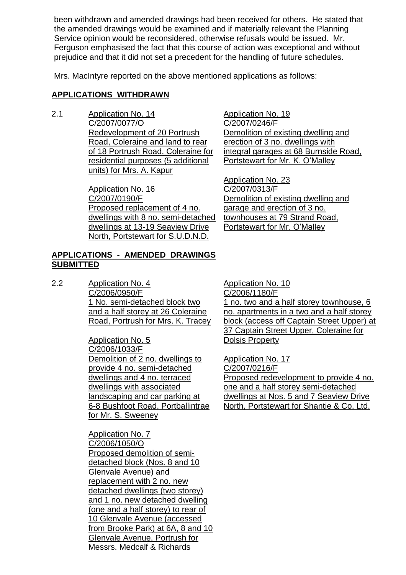been withdrawn and amended drawings had been received for others. He stated that the amended drawings would be examined and if materially relevant the Planning Service opinion would be reconsidered, otherwise refusals would be issued. Mr. Ferguson emphasised the fact that this course of action was exceptional and without prejudice and that it did not set a precedent for the handling of future schedules.

Mrs. MacIntyre reported on the above mentioned applications as follows:

### **APPLICATIONS WITHDRAWN**

2.1 Application No. 14 C/2007/0077/O Redevelopment of 20 Portrush Road, Coleraine and land to rear of 18 Portrush Road, Coleraine for residential purposes (5 additional units) for Mrs. A. Kapur

> Application No. 16 C/2007/0190/F Proposed replacement of 4 no. dwellings with 8 no. semi-detached dwellings at 13-19 Seaview Drive North, Portstewart for S.U.D.N.D.

Application No. 19 C/2007/0246/F Demolition of existing dwelling and erection of 3 no. dwellings with integral garages at 68 Burnside Road, Portstewart for Mr. K. O'Malley

Application No. 23 C/2007/0313/F Demolition of existing dwelling and garage and erection of 3 no. townhouses at 79 Strand Road, Portstewart for Mr. O'Malley

#### **APPLICATIONS - AMENDED DRAWINGS SUBMITTED**

2.2 Application No. 4 C/2006/0950/F 1 No. semi-detached block two and a half storey at 26 Coleraine Road, Portrush for Mrs. K. Tracey

> Application No. 5 C/2006/1033/F Demolition of 2 no. dwellings to provide 4 no. semi-detached dwellings and 4 no. terraced dwellings with associated landscaping and car parking at 6-8 Bushfoot Road, Portballintrae for Mr. S. Sweeney

Application No. 7 C/2006/1050/O Proposed demolition of semidetached block (Nos. 8 and 10 Glenvale Avenue) and replacement with 2 no. new detached dwellings (two storey) and 1 no. new detached dwelling (one and a half storey) to rear of 10 Glenvale Avenue (accessed from Brooke Park) at 6A, 8 and 10 Glenvale Avenue, Portrush for Messrs. Medcalf & Richards

Application No. 10 C/2006/1180/F 1 no. two and a half storey townhouse, 6 no. apartments in a two and a half storey block (access off Captain Street Upper) at 37 Captain Street Upper, Coleraine for Dolsis Property

Application No. 17 C/2007/0216/F Proposed redevelopment to provide 4 no. one and a half storey semi-detached dwellings at Nos. 5 and 7 Seaview Drive North, Portstewart for Shantie & Co. Ltd.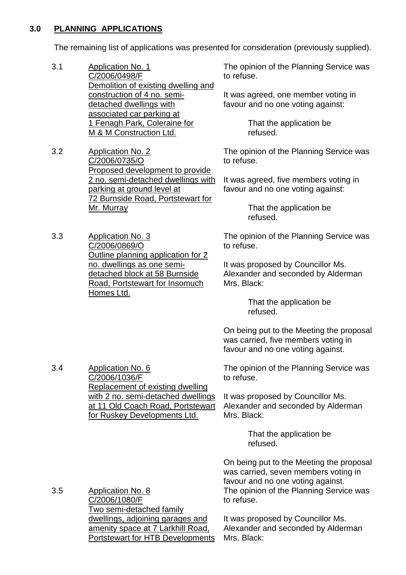#### **3.0 PLANNING APPLICATIONS**

The remaining list of applications was presented for consideration (previously supplied).

- 3.1 Application No. 1 C/2006/0498/F Demolition of existing dwelling and construction of 4 no. semidetached dwellings with associated car parking at 1 Fenagh Park, Coleraine for M & M Construction Ltd.
- 3.2 Application No. 2 C/2006/0735/O Proposed development to provide 2 no. semi-detached dwellings with parking at ground level at 72 Burnside Road, Portstewart for Mr. Murray
- 3.3 Application No. 3 C/2006/0869/O Outline planning application for 2 no. dwellings as one semidetached block at 58 Burnside Road, Portstewart for Insomuch Homes Ltd.

The opinion of the Planning Service was to refuse.

It was agreed, one member voting in favour and no one voting against:

> That the application be refused.

The opinion of the Planning Service was to refuse.

It was agreed, five members voting in favour and no one voting against:

> That the application be refused.

The opinion of the Planning Service was to refuse.

It was proposed by Councillor Ms. Alexander and seconded by Alderman Mrs. Black:

> That the application be refused.

On being put to the Meeting the proposal was carried, five members voting in favour and no one voting against.

3.4 Application No. 6 C/2006/1036/F Replacement of existing dwelling with 2 no. semi-detached dwellings at 11 Old Coach Road, Portstewart for Ruskey Developments Ltd.

The opinion of the Planning Service was to refuse.

It was proposed by Councillor Ms. Alexander and seconded by Alderman Mrs. Black:

> That the application be refused.

On being put to the Meeting the proposal was carried, seven members voting in favour and no one voting against. The opinion of the Planning Service was to refuse.

3.5 Application No. 8 C/2006/1080/F Two semi-detached family dwellings, adjoining garages and amenity space at 7 Larkhill Road, Portstewart for HTB Developments

It was proposed by Councillor Ms. Alexander and seconded by Alderman Mrs. Black: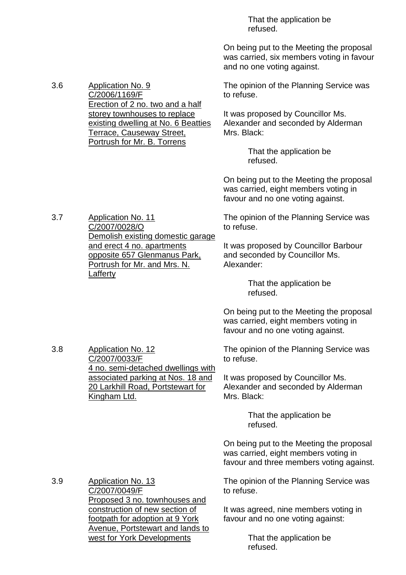That the application be refused.

On being put to the Meeting the proposal was carried, six members voting in favour and no one voting against.

The opinion of the Planning Service was to refuse.

It was proposed by Councillor Ms. Alexander and seconded by Alderman Mrs. Black:

> That the application be refused.

On being put to the Meeting the proposal was carried, eight members voting in favour and no one voting against.

The opinion of the Planning Service was to refuse.

It was proposed by Councillor Barbour and seconded by Councillor Ms. Alexander:

> That the application be refused.

On being put to the Meeting the proposal was carried, eight members voting in favour and no one voting against.

The opinion of the Planning Service was to refuse.

It was proposed by Councillor Ms. Alexander and seconded by Alderman Mrs. Black:

> That the application be refused.

On being put to the Meeting the proposal was carried, eight members voting in favour and three members voting against.

The opinion of the Planning Service was to refuse.

It was agreed, nine members voting in favour and no one voting against:

> That the application be refused.

3.6 Application No. 9 C/2006/1169/F Erection of 2 no. two and a half storey townhouses to replace existing dwelling at No. 6 Beatties Terrace, Causeway Street, Portrush for Mr. B. Torrens

3.7 Application No. 11

3.8 Application No. 12

C/2007/0033/F

Kingham Ltd.

C/2007/0028/O Demolish existing domestic garage and erect 4 no. apartments opposite 657 Glenmanus Park, Portrush for Mr. and Mrs. N. **Lafferty** 

4 no. semi-detached dwellings with associated parking at Nos. 18 and 20 Larkhill Road, Portstewart for

3.9 Application No. 13 C/2007/0049/F Proposed 3 no. townhouses and construction of new section of footpath for adoption at 9 York Avenue, Portstewart and lands to west for York Developments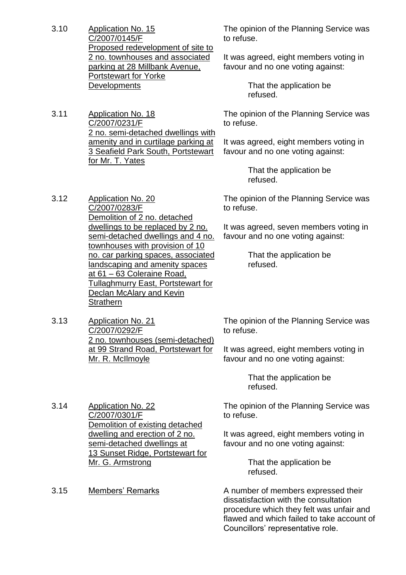3.10 Application No. 15 C/2007/0145/F Proposed redevelopment of site to 2 no. townhouses and associated parking at 28 Millbank Avenue, Portstewart for Yorke **Developments** 

3.11 Application No. 18 C/2007/0231/F 2 no. semi-detached dwellings with amenity and in curtilage parking at 3 Seafield Park South, Portstewart for Mr. T. Yates

The opinion of the Planning Service was to refuse.

It was agreed, eight members voting in favour and no one voting against:

> That the application be refused.

The opinion of the Planning Service was to refuse.

It was agreed, eight members voting in favour and no one voting against:

> That the application be refused.

3.12 Application No. 20 C/2007/0283/F Demolition of 2 no. detached dwellings to be replaced by 2 no. semi-detached dwellings and 4 no. townhouses with provision of 10 no. car parking spaces, associated landscaping and amenity spaces at 61 –63 Coleraine Road, Tullaghmurry East, Portstewart for Declan McAlary and Kevin

3.13 Application No. 21 C/2007/0292/F 2 no. townhouses (semi-detached) at 99 Strand Road, Portstewart for Mr. R. McIlmoyle

**Strathern** 

The opinion of the Planning Service was to refuse.

It was agreed, seven members voting in favour and no one voting against:

> That the application be refused.

The opinion of the Planning Service was to refuse.

It was agreed, eight members voting in favour and no one voting against:

> That the application be refused.

The opinion of the Planning Service was to refuse.

It was agreed, eight members voting in favour and no one voting against:

> That the application be refused.

3.15 Members' Remarks A number of members expressed their dissatisfaction with the consultation procedure which they felt was unfair and flawed and which failed to take account of Councillors' representative role.

3.14 Application No. 22 C/2007/0301/F Demolition of existing detached dwelling and erection of 2 no. semi-detached dwellings at 13 Sunset Ridge, Portstewart for Mr. G. Armstrong